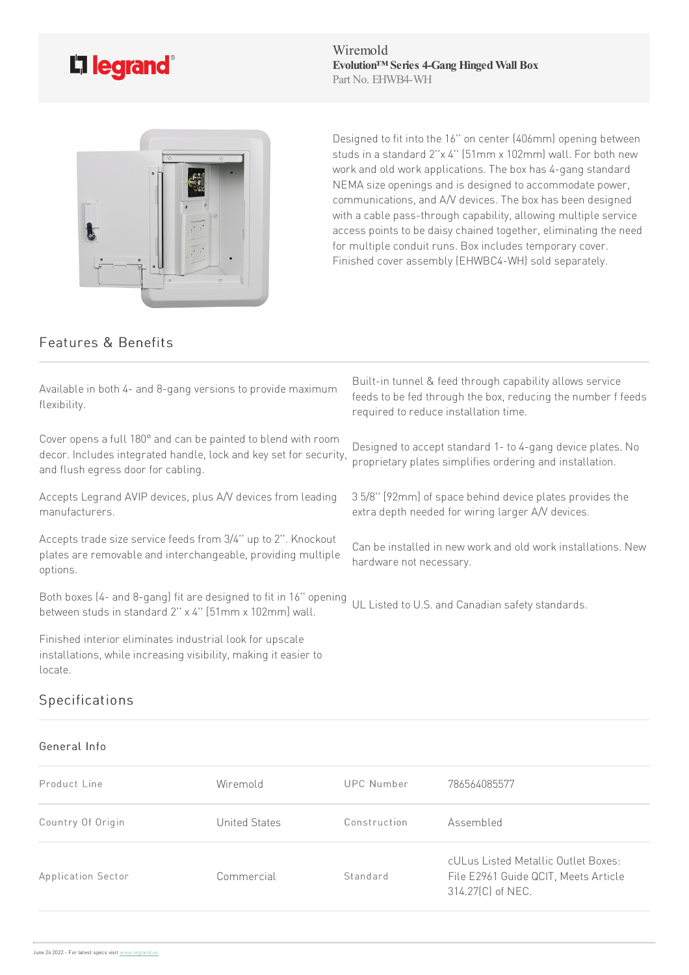

Wiremold **Evolution™ Series 4-Gang HingedWall Box** Part No. EHWB4-WH



Designed to fit into the 16" on center (406mm) opening between studs in a standard 2"x 4" (51mm x 102mm) wall. For both new work and old work applications. The box has 4-gang standard NEMA size openings and is designed to accommodate power, communications, and A/V devices. The box has been designed with a cable pass-through capability, allowing multiple service access points to be daisy chained together, eliminating the need for multiple conduit runs. Box includes temporary cover. Finished cover assembly (EHWBC4-WH) sold separately.

## Features & Benefits

| Available in both 4- and 8-gang versions to provide maximum<br>flexibility.                                                                                              | Built-in tunnel & feed through capability allows service<br>feeds to be fed through the box, reducing the number f feeds<br>required to reduce installation time. |
|--------------------------------------------------------------------------------------------------------------------------------------------------------------------------|-------------------------------------------------------------------------------------------------------------------------------------------------------------------|
| Cover opens a full 180° and can be painted to blend with room<br>decor. Includes integrated handle, lock and key set for security,<br>and flush egress door for cabling. | Designed to accept standard 1- to 4-gang device plates. No<br>proprietary plates simplifies ordering and installation.                                            |
| Accepts Legrand AVIP devices, plus A/V devices from leading<br>manufacturers.                                                                                            | 35/8" [92mm] of space behind device plates provides the<br>extra depth needed for wiring larger A/V devices.                                                      |
| Accepts trade size service feeds from 3/4" up to 2". Knockout<br>plates are removable and interchangeable, providing multiple<br>options.                                | Can be installed in new work and old work installations. New<br>hardware not necessary.                                                                           |
| Both boxes (4- and 8-gang) fit are designed to fit in 16" opening<br>between studs in standard 2" x 4" [51mm x 102mm] wall.                                              | UL Listed to U.S. and Canadian safety standards.                                                                                                                  |

Finished interior eliminates industrial look for upscale installations, while increasing visibility, making it easier to locate.

## Specifications

## General Info

| Product Line       | Wiremold      | UPC Number   | 786564085577                                                                                     |
|--------------------|---------------|--------------|--------------------------------------------------------------------------------------------------|
| Country Of Origin  | United States | Construction | Assembled                                                                                        |
| Application Sector | Commercial    | Standard     | cULus Listed Metallic Outlet Boxes:<br>File E2961 Guide QCIT, Meets Article<br>314.27(C) of NEC. |